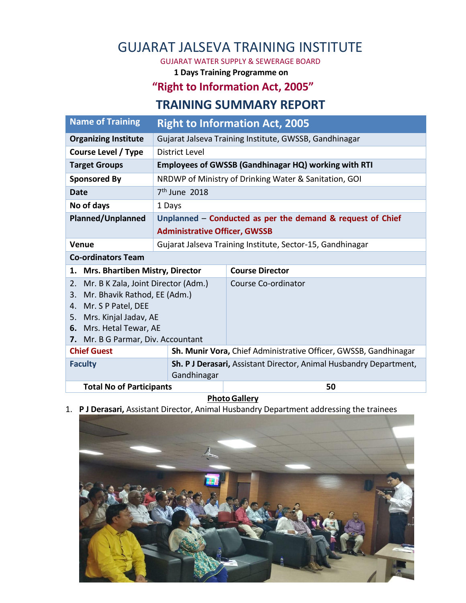## GUJARAT JALSEVA TRAINING INSTITUTE

GUJARAT WATER SUPPLY & SEWERAGE BOARD

**1 Days Training Programme on** 

## **"Right to Information Act, 2005"**

## **TRAINING SUMMARY REPORT**

| <b>Name of Training</b>                                       | <b>Right to Information Act, 2005</b>                      |                                                                    |
|---------------------------------------------------------------|------------------------------------------------------------|--------------------------------------------------------------------|
| <b>Organizing Institute</b>                                   | Gujarat Jalseva Training Institute, GWSSB, Gandhinagar     |                                                                    |
| Course Level / Type                                           | District Level                                             |                                                                    |
| <b>Target Groups</b>                                          | Employees of GWSSB (Gandhinagar HQ) working with RTI       |                                                                    |
| <b>Sponsored By</b>                                           | NRDWP of Ministry of Drinking Water & Sanitation, GOI      |                                                                    |
| Date                                                          | $7th$ June 2018                                            |                                                                    |
| No of days                                                    | 1 Days                                                     |                                                                    |
| <b>Planned/Unplanned</b>                                      | Unplanned - Conducted as per the demand & request of Chief |                                                                    |
|                                                               | <b>Administrative Officer, GWSSB</b>                       |                                                                    |
| Venue                                                         |                                                            | Gujarat Jalseva Training Institute, Sector-15, Gandhinagar         |
| <b>Co-ordinators Team</b>                                     |                                                            |                                                                    |
| 1. Mrs. Bhartiben Mistry, Director                            |                                                            | <b>Course Director</b>                                             |
| Mr. B K Zala, Joint Director (Adm.)<br>2.                     |                                                            | Course Co-ordinator                                                |
| Mr. Bhavik Rathod, EE (Adm.)<br>3.                            |                                                            |                                                                    |
| Mr. S P Patel, DEE<br>4.                                      |                                                            |                                                                    |
| Mrs. Kinjal Jadav, AE<br>5.                                   |                                                            |                                                                    |
| 6. Mrs. Hetal Tewar, AE<br>7. Mr. B G Parmar, Div. Accountant |                                                            |                                                                    |
| <b>Chief Guest</b>                                            |                                                            | Sh. Munir Vora, Chief Administrative Officer, GWSSB, Gandhinagar   |
|                                                               |                                                            |                                                                    |
| <b>Faculty</b>                                                |                                                            | Sh. P J Derasari, Assistant Director, Animal Husbandry Department, |
|                                                               | Gandhinagar                                                |                                                                    |
| <b>Total No of Participants</b>                               |                                                            | 50                                                                 |

## **Photo Gallery**

1. **P J Derasari,** Assistant Director, Animal Husbandry Department addressing the trainees